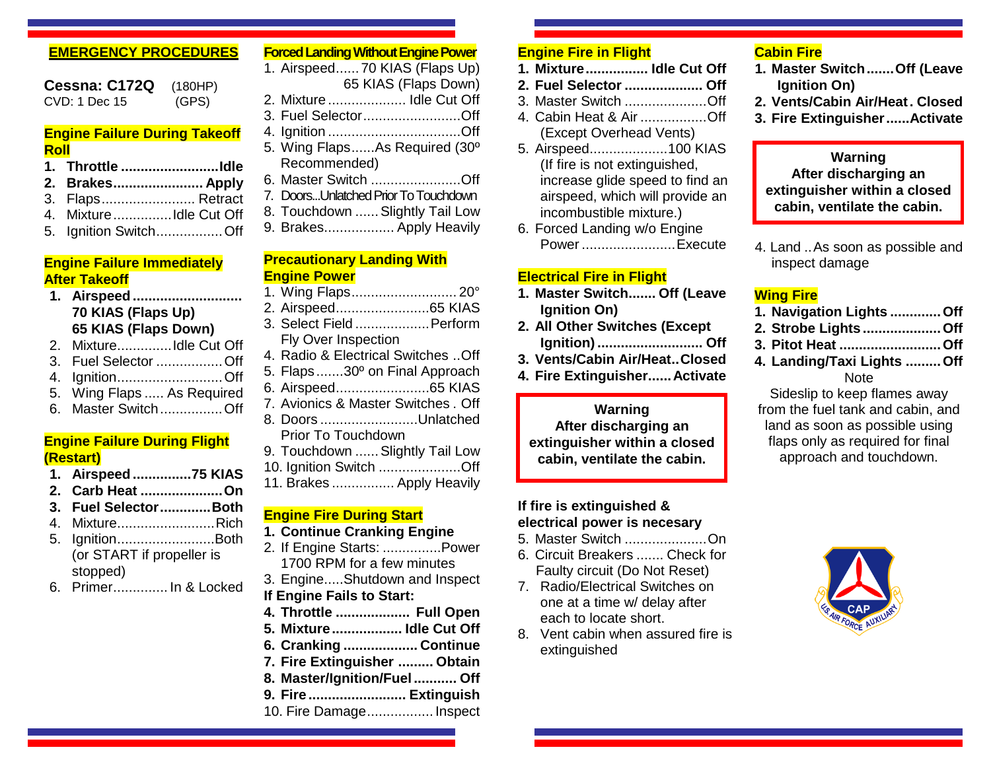## **EMERGENCY PROCEDURES**

**Cessna: C172Q** (180HP)<br>CVD: 1 Dec 15 (GPS)  $CVD: 1$  Dec 15

#### **Engine Failure During Takeoff Roll**

- **1. Throttle .........................Idle 2. Brakes....................... Apply**
- 3. Flaps........................ Retract
- 4. Mixture...............Idle Cut Off
- 5. Ignition Switch.................Off

## **Engine Failure Immediately After Takeoff**

#### **1. Airspeed............................ 70 KIAS (Flaps Up) 65 KIAS (Flaps Down)**

- 2. Mixture..............Idle Cut Off
- 3. Fuel Selector .................Off
- 4. Ignition...........................Off
- 5. Wing Flaps ..... As Required
- 6. Master Switch................Off

## **Engine Failure During Flight (Restart)**

- **1. Airspeed...............75 KIAS**
- **2. Carb Heat .....................On**
- **3. Fuel Selector.............Both**
- 4. Mixture.........................Rich
- 5. Ignition.........................Both (or START if propeller is stopped)
- 6. Primer.............. In & Locked

## **Forced Landing Without Engine Power**

- 1. Airspeed...... 70 KIAS (Flaps Up) 65 KIAS (Flaps Down)
- 2. Mixture .................... Idle Cut Off
- 3. Fuel Selector.........................Off
- 4. Ignition ..................................Off 5. Wing Flaps......As Required (30º
- Recommended)
- 6. Master Switch .......................Off
- 7. Doors...Unlatched Prior To Touchdown
- 8. Touchdown ......Slightly Tail Low
- 9. Brakes.................. Apply Heavily

#### **Precautionary Landing With Engine Power**

- 1. Wing Flaps........................... 20°
- 2. Airspeed........................65 KIAS
- 3. Select Field ...................Perform Fly Over Inspection
- 4. Radio & Electrical Switches ..Off
- 5. Flaps.......30º on Final Approach
- 6. Airspeed........................65 KIAS
- 7. Avionics & Master Switches . Off
- 8. Doors .........................Unlatched Prior To Touchdown
- 9. Touchdown ...... Slightly Tail Low
- 10. Ignition Switch .....................Off
- 11. Brakes ................ Apply Heavily

### **Engine Fire During Start**

- **1. Continue Cranking Engine**
- 2. If Engine Starts: ...............Power 1700 RPM for a few minutes
- 3. Engine.....Shutdown and Inspect **If Engine Fails to Start:**
- **4. Throttle ................... Full Open**
- **5. Mixture.................. Idle Cut Off**
- **6. Cranking ................... Continue**
- **7. Fire Extinguisher ......... Obtain**
- **8. Master/Ignition/Fuel ........... Off**
- **9. Fire ......................... Extinguish**
- 10. Fire Damage................. Inspect

## **Engine Fire in Flight**

- **1. Mixture................ Idle Cut Off**
- **2. Fuel Selector .................... Off**
- 3. Master Switch .....................Off
- 4. Cabin Heat & Air .................Off (Except Overhead Vents)
- 5. Airspeed....................100 KIAS (If fire is not extinguished, increase glide speed to find an airspeed, which will provide an incombustible mixture.)
- 6. Forced Landing w/o Engine Power ........................Execute

# **Electrical Fire in Flight**

- **1. Master Switch....... Off (Leave Ignition On)**
- **2. All Other Switches (Except Ignition)........................... Off**
- **3. Vents/Cabin Air/Heat..Closed**
- **4. Fire Extinguisher......Activate**

## **Warning After discharging an extinguisher within a closed cabin, ventilate the cabin.**

## **If fire is extinguished & electrical power is necesary**

- 5. Master Switch .....................On
- 6. Circuit Breakers ....... Check for Faulty circuit (Do Not Reset)
- 7. Radio/Electrical Switches on one at a time w/ delay after each to locate short.
- 8. Vent cabin when assured fire is extinguished

# **Cabin Fire**

- **1. Master Switch.......Off (Leave Ignition On)**
- **2. Vents/Cabin Air/Heat. Closed**
- **3. Fire Extinguisher......Activate**

## **Warning After discharging an extinguisher within a closed cabin, ventilate the cabin.**

4. Land ..As soon as possible and inspect damage

# **Wing Fire**

- **1. Navigation Lights .............Off**
- **2. Strobe Lights ....................Off**
- **3. Pitot Heat ..........................Off**
- **4. Landing/Taxi Lights .........Off** Note

Sideslip to keep flames away from the fuel tank and cabin, and land as soon as possible using flaps only as required for final approach and touchdown.